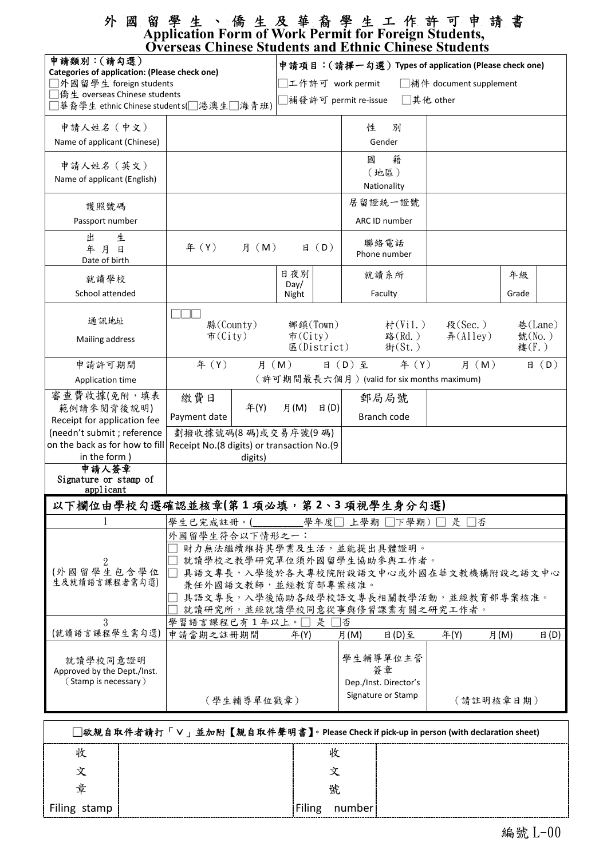### 外 國 留 學 生 、 僑 生 及 華 裔 學 生 工 作 許 可 申 請 書 **Application Form of Work Permit for Foreign Students, Overseas Chinese Students and Ethnic Chinese Students**

| O verbend Chinese Dinuento unu<br>申請類別:(請勾選)<br><b>Categories of application: (Please check one)</b><br>□外國留學生 foreign students |                                                             | 申請項目:(請擇一勾選) Types of application (Please check one) |                                   |                      |                       |                     |       |         |  |  |  |
|---------------------------------------------------------------------------------------------------------------------------------|-------------------------------------------------------------|------------------------------------------------------|-----------------------------------|----------------------|-----------------------|---------------------|-------|---------|--|--|--|
|                                                                                                                                 |                                                             | 工作許可 work permit<br>□補件 document supplement          |                                   |                      |                       |                     |       |         |  |  |  |
|                                                                                                                                 |                                                             |                                                      | 補發許可 permit re-issue<br>□其他 other |                      |                       |                     |       |         |  |  |  |
| ]華裔學生 ethnic Chinese student s(□港澳生□海青班)                                                                                        |                                                             |                                                      |                                   |                      |                       |                     |       |         |  |  |  |
| 申請人姓名 (中文)                                                                                                                      |                                                             |                                                      |                                   | 性<br>別               |                       |                     |       |         |  |  |  |
| Name of applicant (Chinese)                                                                                                     |                                                             |                                                      |                                   | Gender               |                       |                     |       |         |  |  |  |
| 申請人姓名 (英文)                                                                                                                      |                                                             |                                                      |                                   | 籍<br>國               |                       |                     |       |         |  |  |  |
| Name of applicant (English)                                                                                                     |                                                             |                                                      |                                   | (地區)                 |                       |                     |       |         |  |  |  |
|                                                                                                                                 |                                                             |                                                      |                                   | Nationality          |                       |                     |       |         |  |  |  |
| 護照號碼                                                                                                                            |                                                             |                                                      |                                   | 居留證統一證號              |                       |                     |       |         |  |  |  |
| Passport number                                                                                                                 |                                                             |                                                      |                                   | ARC ID number        |                       |                     |       |         |  |  |  |
| 出<br>生<br>年月日<br>Date of birth                                                                                                  | 月 (M)<br>年 (Y)                                              |                                                      | B(D)                              | 聯絡電話<br>Phone number |                       |                     |       |         |  |  |  |
|                                                                                                                                 |                                                             | 日夜別                                                  |                                   | 就讀系所                 |                       |                     | 年級    |         |  |  |  |
| 就讀學校                                                                                                                            |                                                             | Day/                                                 |                                   |                      |                       |                     |       |         |  |  |  |
| School attended                                                                                                                 |                                                             | Night                                                |                                   | Faculty              |                       |                     | Grade |         |  |  |  |
| 通訊地址                                                                                                                            |                                                             |                                                      |                                   |                      |                       |                     |       |         |  |  |  |
| 縣(County)<br>鄉鎮(Town)<br>$\overline{\pi}$ (City)<br>市 $(City)$<br>Mailing address<br>E(Distrib)                                 |                                                             |                                                      |                                   | 村(Vil.)<br>路(Rd.)    |                       | 段(Sec.)<br>#(Alley) |       | 巷(Lane) |  |  |  |
|                                                                                                                                 |                                                             |                                                      | 號(No.)<br>街(St.)<br>樓(F.)         |                      |                       |                     |       |         |  |  |  |
| 申請許可期間                                                                                                                          | 年 (Y)<br>年 (Y)<br>月 (M)<br>日 (D) 至<br>月 (M)                 |                                                      |                                   |                      |                       |                     | B(D)  |         |  |  |  |
| Application time                                                                                                                | (許可期間最長六個月) (valid for six months maximum)                  |                                                      |                                   |                      |                       |                     |       |         |  |  |  |
| 審查費收據(免附,填表                                                                                                                     | 繳費日                                                         |                                                      |                                   | 郵局局號                 |                       |                     |       |         |  |  |  |
| 範例請參閱背後說明)<br>Receipt for application fee                                                                                       | 年(Y)<br>Payment date                                        | 月(M)                                                 | $\boxminus$ (D)                   | Branch code          |                       |                     |       |         |  |  |  |
| (needn't submit ; reference                                                                                                     | 劃撥收據號碼(8碼)或交易序號(9碼)                                         |                                                      |                                   |                      |                       |                     |       |         |  |  |  |
| on the back as for how to fill Receipt No.(8 digits) or transaction No.(9                                                       |                                                             |                                                      |                                   |                      |                       |                     |       |         |  |  |  |
| in the form)                                                                                                                    | digits)                                                     |                                                      |                                   |                      |                       |                     |       |         |  |  |  |
| 申請人簽章                                                                                                                           |                                                             |                                                      |                                   |                      |                       |                     |       |         |  |  |  |
| Signature or stamp of<br>applicant                                                                                              |                                                             |                                                      |                                   |                      |                       |                     |       |         |  |  |  |
| 以下欄位由學校勾選確認並核章(第1項必填,第2、3項視學生身分勾選)                                                                                              |                                                             |                                                      |                                   |                      |                       |                     |       |         |  |  |  |
|                                                                                                                                 | 學生已完成註冊。(                                                   |                                                      | 學年度□                              | 上學期 □下學期)            |                       | 是<br> 否             |       |         |  |  |  |
|                                                                                                                                 | 外國留學生符合以下情形之一:                                              |                                                      |                                   |                      |                       |                     |       |         |  |  |  |
|                                                                                                                                 | 財力無法繼續維持其學業及生活,並能提出具體證明。                                    |                                                      |                                   |                      |                       |                     |       |         |  |  |  |
| 就讀學校之教學研究單位須外國留學生協助參與工作者。<br>2                                                                                                  |                                                             |                                                      |                                   |                      |                       |                     |       |         |  |  |  |
| (外國留學生包含學位                                                                                                                      |                                                             | 具語文專長,入學後於各大專校院附設語文中心或外國在華文教機構附設之語文中心                |                                   |                      |                       |                     |       |         |  |  |  |
| 生及就讀語言課程者需勾選)                                                                                                                   | 兼任外國語文教師,並經教育部專案核准。<br>具語文專長,入學後協助各級學校語文專長相關教學活動,並經教育部專案核准。 |                                                      |                                   |                      |                       |                     |       |         |  |  |  |
|                                                                                                                                 |                                                             | 就讀研究所,並經就讀學校同意從事與修習課業有關之研究工作者。                       |                                   |                      |                       |                     |       |         |  |  |  |
| 3                                                                                                                               |                                                             |                                                      |                                   |                      |                       |                     |       |         |  |  |  |
| (就讀語言課程學生需勾選)                                                                                                                   | 學習語言課程已有1年以上。<br>申請當期之註冊期間                                  | 年(Y)                                                 | 是                                 | ヿ否<br>日(D)至<br>月(M)  |                       | 年(Y)                | 月(M)  | 日(D)    |  |  |  |
| 就讀學校同意證明                                                                                                                        |                                                             |                                                      |                                   | 學生輔導單位主管             |                       |                     |       |         |  |  |  |
| Approved by the Dept./Inst.                                                                                                     |                                                             |                                                      |                                   | 簽章                   |                       |                     |       |         |  |  |  |
| (Stamp is necessary)                                                                                                            |                                                             |                                                      |                                   |                      | Dep./Inst. Director's |                     |       |         |  |  |  |
|                                                                                                                                 | (學生輔導單位戳章)                                                  |                                                      |                                   | Signature or Stamp   |                       | (請註明核章日期)           |       |         |  |  |  |
|                                                                                                                                 |                                                             |                                                      |                                   |                      |                       |                     |       |         |  |  |  |

| □欲親自取件者請打「∨」並加附【親自取件聲明書】。Please Check if pick-up in person (with declaration sheet) |  |  |        |  |  |  |  |  |  |
|-------------------------------------------------------------------------------------|--|--|--------|--|--|--|--|--|--|
| 收                                                                                   |  |  |        |  |  |  |  |  |  |
|                                                                                     |  |  |        |  |  |  |  |  |  |
| 童                                                                                   |  |  | 號      |  |  |  |  |  |  |
| Filing stamp                                                                        |  |  | number |  |  |  |  |  |  |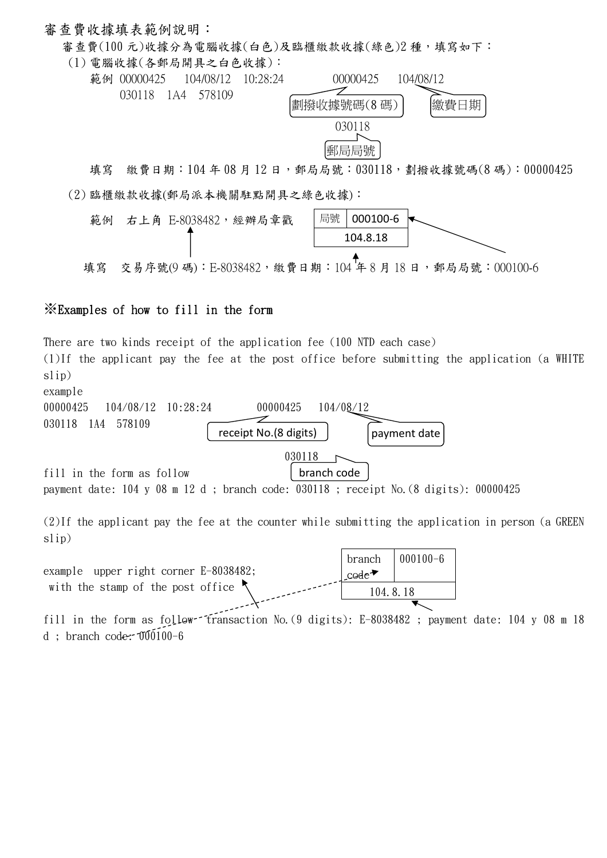#### 審查費收據填表範例說明:

審查費(100元)收據分為電腦收據(白色)及臨櫃繳款收據(綠色)2種,填寫如下:

(1) 電腦收據(各郵局開具之白色收據):



填寫 繳費日期: 104年08月12日,郵局局號: 030118,劃撥收據號碼(8碼): 00000425 (2) 臨櫃繳款收據(郵局派本機關駐點開具之綠色收據):



# ※Examples of how to fill in the form

There are two kinds receipt of the application fee (100 NTD each case) (1)If the applicant pay the fee at the post office before submitting the application (a WHITE slip) example 00000425 104/08/12 10:28:24 00000425 104/08/12 ー 030118 1A4 578109 receipt No.(8 digits) payment date 030118  $\sqrt{ }$ fill in the form as follow branch code payment date: 104 y 08 m 12 d ; branch code: 030118 ; receipt No.(8 digits): 00000425 (2)If the applicant pay the fee at the counter while submitting the application in person (a GREEN slip) branch 000100-6 example upper right corner E-8038482; code<sup>→</sup> with the stamp of the post office 104.8.18 fill in the form as follow transaction No.  $(9 \text{ digits})$ : E-8038482; payment date: 104 y 08 m 18 d ; branch code:  $0.0100-6$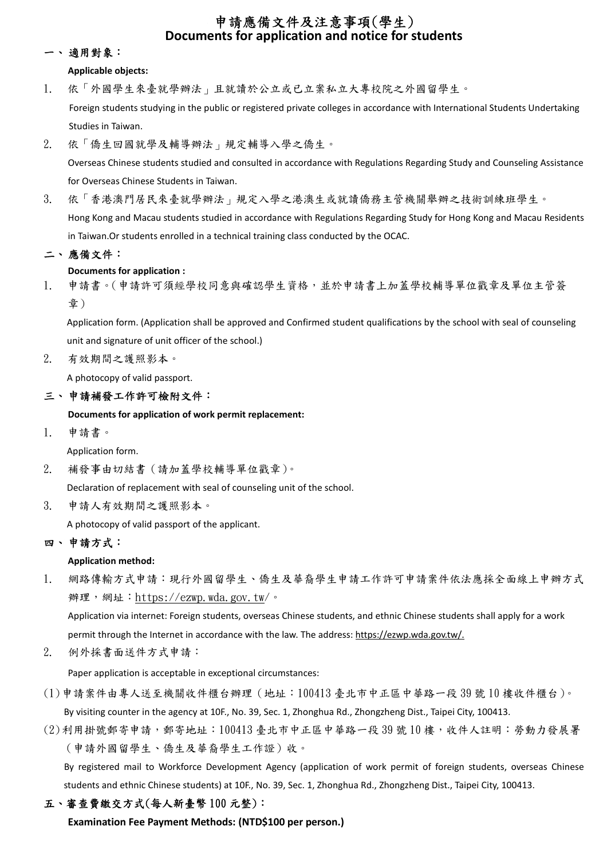# 申請應備文件及注意事項(學生) **Documents for application and notice for students**

#### 一、 適用對象:

#### **Applicable objects:**

- 1. 依「外國學生來臺就學辦法」且就讀於公立或已立案私立大專校院之外國留學生。 Foreign students studying in the public or registered private colleges in accordance with International Students Undertaking Studies in Taiwan.
- 2. 依「僑生回國就學及輔導辦法」規定輔導入學之僑生。

Overseas Chinese students studied and consulted in accordance with Regulations Regarding Study and Counseling Assistance for Overseas Chinese Students in Taiwan.

3. 依「香港澳門居民來臺就學辦法」規定入學之港澳生或就讀僑務主管機關舉辦之技術訓練班學生。 Hong Kong and Macau students studied in accordance with Regulations Regarding Study for Hong Kong and Macau Residents in Taiwan.Or students enrolled in a technical training class conducted by the OCAC.

# 二、 應備文件:

### **Documents for application :**

1. 申請書。(申請許可須經學校同意與確認學生資格,並於申請書上加蓋學校輔導單位戳章及單位主管簽 章)

 Application form. (Application shall be approved and Confirmed student qualifications by the school with seal of counseling unit and signature of unit officer of the school.)

2. 有效期間之護照影本。

A photocopy of valid passport.

# 三、 申請補發工作許可檢附文件:

#### **Documents for application of work permit replacement:**

1. 申請書。

Application form.

2. 補發事由切結書(請加蓋學校輔導單位戳章)。

Declaration of replacement with seal of counseling unit of the school.

3. 申請人有效期間之護照影本。

A photocopy of valid passport of the applicant.

# 四、 申請方式:

#### **Application method:**

1. 網路傳輸方式申請:現行外國留學生、僑生及華裔學生申請工作許可申請案件依法應採全面線上申辦方式 辦理,網址:https://ezwp.wda.gov.tw/。

Application via internet: Foreign students, overseas Chinese students, and ethnic Chinese students shall apply for a work permit through the Internet in accordance with the law. The address: https://ezwp.wda.gov.tw/.

2. 例外採書面送件方式申請:

Paper application is acceptable in exceptional circumstances:

- (1)申請案件由專人送至機關收件櫃台辦理(地址:100413 臺北市中正區中華路一段 39 號 10 樓收件櫃台)。 By visiting counter in the agency at 10F., No. 39, Sec. 1, Zhonghua Rd., Zhongzheng Dist., Taipei City, 100413.
- (2)利用掛號郵寄申請,郵寄地址:100413 臺北市中正區中華路一段 39 號 10 樓,收件人註明:勞動力發展署 (申請外國留學生、僑生及華裔學生工作證)收。

 By registered mail to Workforce Development Agency (application of work permit of foreign students, overseas Chinese students and ethnic Chinese students) at 10F., No. 39, Sec. 1, Zhonghua Rd., Zhongzheng Dist., Taipei City, 100413.

# 五、審查費繳交方式(每人新臺幣 100 元整):

**Examination Fee Payment Methods: (NTD\$100 per person.)**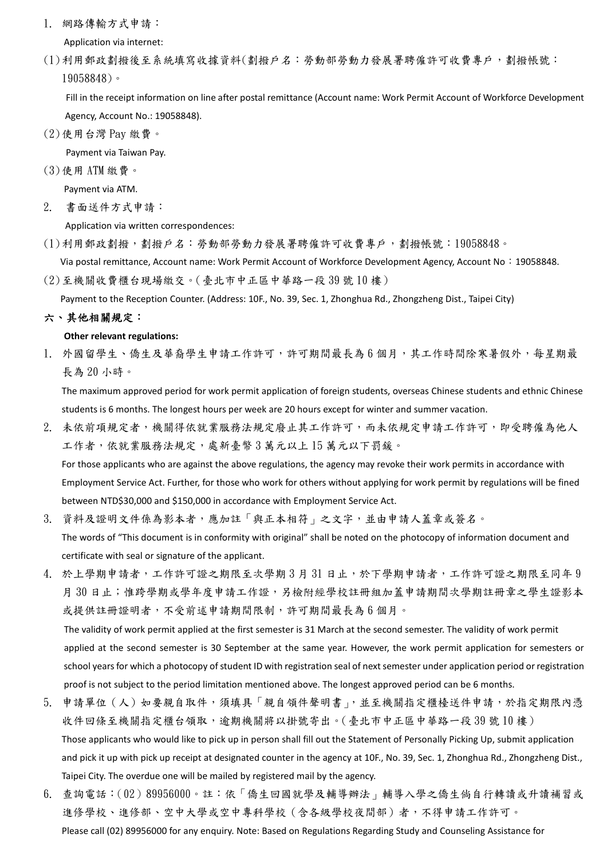1. 網路傳輸方式申請:

Application via internet:

(1)利用郵政劃撥後至系統填寫收據資料(劃撥戶名:勞動部勞動力發展署聘僱許可收費專戶,劃撥帳號: 19058848)。

 Fill in the receipt information on line after postal remittance (Account name: Work Permit Account of Workforce Development Agency, Account No.: 19058848).

(2)使用台灣 Pay 繳費。

Payment via Taiwan Pay.

(3)使用 ATM 繳費。

Payment via ATM.

2. 書面送件方式申請:

Application via written correspondences:

(1)利用郵政劃撥,劃撥戶名:勞動部勞動力發展署聘僱許可收費專戶,劃撥帳號:19058848。

Via postal remittance, Account name: Work Permit Account of Workforce Development Agency, Account No:19058848.

(2)至機關收費櫃台現場繳交。(臺北市中正區中華路一段 39 號 10 樓)

Payment to the Reception Counter. (Address: 10F., No. 39, Sec. 1, Zhonghua Rd., Zhongzheng Dist., Taipei City)

#### 六、其他相關規定:

#### **Other relevant regulations:**

1. 外國留學生、僑生及華裔學生申請工作許可,許可期間最長為 6 個月,其工作時間除寒暑假外,每星期最 長為 20 小時。

The maximum approved period for work permit application of foreign students, overseas Chinese students and ethnic Chinese students is 6 months. The longest hours per week are 20 hours except for winter and summer vacation.

- 2. 未依前項規定者,機關得依就業服務法規定廢止其工作許可,而未依規定申請工作許可,即受聘僱為他人 工作者,依就業服務法規定,處新臺幣3萬元以上15萬元以下罰鍰。 For those applicants who are against the above regulations, the agency may revoke their work permits in accordance with Employment Service Act. Further, for those who work for others without applying for work permit by regulations will be fined between NTD\$30,000 and \$150,000 in accordance with Employment Service Act.
- 3. 資料及證明文件係為影本者,應加註「與正本相符」之文字,並由申請人蓋章或簽名。 The words of "This document is in conformity with original" shall be noted on the photocopy of information document and certificate with seal or signature of the applicant.
- 4. 於上學期申請者,工作許可證之期限至次學期3月31日止,於下學期申請者,工作許可證之期限至同年9 月 30 日止;惟跨學期或學年度申請工作證,另檢附經學校註冊組加蓋申請期間次學期註冊章之學生證影本 或提供註冊證明者,不受前述申請期間限制,許可期間最長為6個月。 The validity of work permit applied at the first semester is 31 March at the second semester. The validity of work permit applied at the second semester is 30 September at the same year. However, the work permit application for semesters or school years for which a photocopy of student ID with registration seal of next semester under application period or registration proof is not subject to the period limitation mentioned above. The longest approved period can be 6 months.
- 5. 申請單位(人)如要親自取件,須填具「親自領件聲明書」,並至機關指定櫃檯送件申請,於指定期限內憑 收件回條至機關指定櫃台領取,逾期機關將以掛號寄出。(臺北市中正區中華路一段39號10樓) Those applicants who would like to pick up in person shall fill out the Statement of Personally Picking Up, submit application and pick it up with pick up receipt at designated counter in the agency at 10F., No. 39, Sec. 1, Zhonghua Rd., Zhongzheng Dist., Taipei City. The overdue one will be mailed by registered mail by the agency.
- 6. 查詢電話:(02)89956000。註:依「僑生回國就學及輔導辦法」輔導入學之僑生倘自行轉讀或升讀補習或 進修學校、進修部、空中大學或空中專科學校(含各級學校夜間部)者,不得申請工作許可。 Please call (02) 89956000 for any enquiry. Note: Based on Regulations Regarding Study and Counseling Assistance for